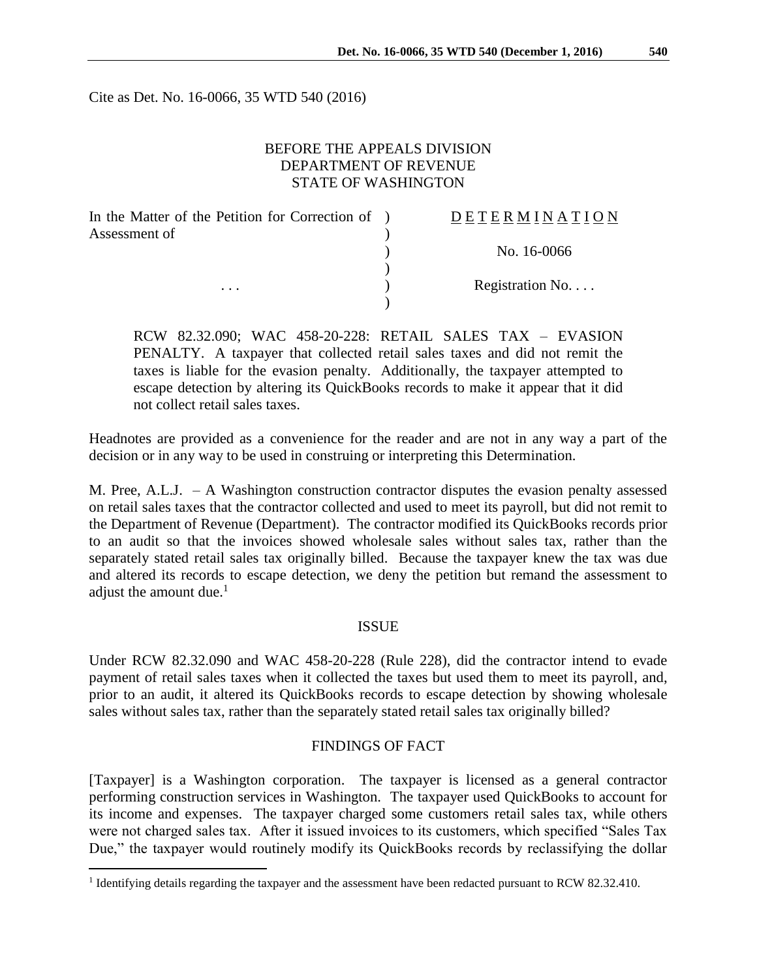Cite as Det. No. 16-0066, 35 WTD 540 (2016)

### BEFORE THE APPEALS DIVISION DEPARTMENT OF REVENUE STATE OF WASHINGTON

| In the Matter of the Petition for Correction of ) | <b>DETERMINATION</b> |
|---------------------------------------------------|----------------------|
| Assessment of                                     |                      |
|                                                   | No. 16-0066          |
|                                                   |                      |
| $\cdots$                                          | Registration No      |
|                                                   |                      |

RCW 82.32.090; WAC 458-20-228: RETAIL SALES TAX – EVASION PENALTY. A taxpayer that collected retail sales taxes and did not remit the taxes is liable for the evasion penalty. Additionally, the taxpayer attempted to escape detection by altering its QuickBooks records to make it appear that it did not collect retail sales taxes.

Headnotes are provided as a convenience for the reader and are not in any way a part of the decision or in any way to be used in construing or interpreting this Determination.

M. Pree, A.L.J. – A Washington construction contractor disputes the evasion penalty assessed on retail sales taxes that the contractor collected and used to meet its payroll, but did not remit to the Department of Revenue (Department). The contractor modified its QuickBooks records prior to an audit so that the invoices showed wholesale sales without sales tax, rather than the separately stated retail sales tax originally billed. Because the taxpayer knew the tax was due and altered its records to escape detection, we deny the petition but remand the assessment to adjust the amount due. $<sup>1</sup>$ </sup>

#### ISSUE

Under RCW 82.32.090 and WAC 458-20-228 (Rule 228), did the contractor intend to evade payment of retail sales taxes when it collected the taxes but used them to meet its payroll, and, prior to an audit, it altered its QuickBooks records to escape detection by showing wholesale sales without sales tax, rather than the separately stated retail sales tax originally billed?

#### FINDINGS OF FACT

[Taxpayer] is a Washington corporation. The taxpayer is licensed as a general contractor performing construction services in Washington. The taxpayer used QuickBooks to account for its income and expenses. The taxpayer charged some customers retail sales tax, while others were not charged sales tax. After it issued invoices to its customers, which specified "Sales Tax Due," the taxpayer would routinely modify its QuickBooks records by reclassifying the dollar

 $\overline{a}$ 

<sup>&</sup>lt;sup>1</sup> Identifying details regarding the taxpayer and the assessment have been redacted pursuant to RCW 82.32.410.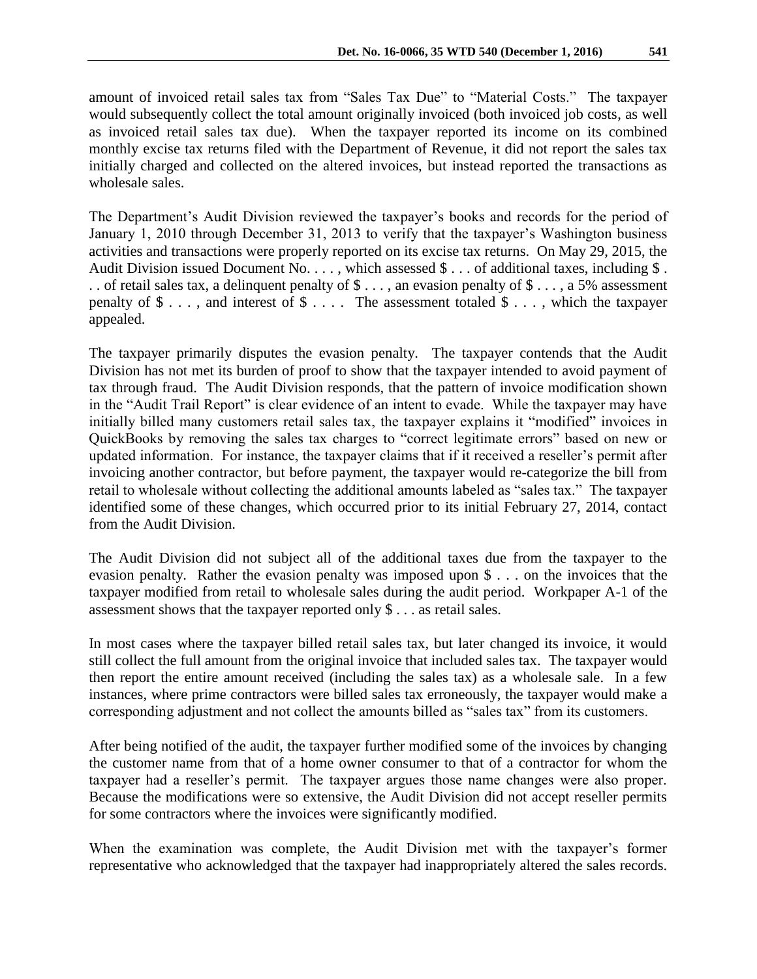The Department's Audit Division reviewed the taxpayer's books and records for the period of January 1, 2010 through December 31, 2013 to verify that the taxpayer's Washington business activities and transactions were properly reported on its excise tax returns. On May 29, 2015, the Audit Division issued Document No. . . . , which assessed \$ . . . of additional taxes, including \$ . . . of retail sales tax, a delinquent penalty of \$ . . . , an evasion penalty of \$ . . . , a 5% assessment penalty of  $\$\ldots$ , and interest of  $\$\ldots$ . The assessment totaled  $\$\ldots$ , which the taxpayer appealed.

The taxpayer primarily disputes the evasion penalty. The taxpayer contends that the Audit Division has not met its burden of proof to show that the taxpayer intended to avoid payment of tax through fraud. The Audit Division responds, that the pattern of invoice modification shown in the "Audit Trail Report" is clear evidence of an intent to evade. While the taxpayer may have initially billed many customers retail sales tax, the taxpayer explains it "modified" invoices in QuickBooks by removing the sales tax charges to "correct legitimate errors" based on new or updated information. For instance, the taxpayer claims that if it received a reseller's permit after invoicing another contractor, but before payment, the taxpayer would re-categorize the bill from retail to wholesale without collecting the additional amounts labeled as "sales tax." The taxpayer identified some of these changes, which occurred prior to its initial February 27, 2014, contact from the Audit Division.

The Audit Division did not subject all of the additional taxes due from the taxpayer to the evasion penalty. Rather the evasion penalty was imposed upon \$ . . . on the invoices that the taxpayer modified from retail to wholesale sales during the audit period. Workpaper A-1 of the assessment shows that the taxpayer reported only \$ . . . as retail sales.

In most cases where the taxpayer billed retail sales tax, but later changed its invoice, it would still collect the full amount from the original invoice that included sales tax. The taxpayer would then report the entire amount received (including the sales tax) as a wholesale sale. In a few instances, where prime contractors were billed sales tax erroneously, the taxpayer would make a corresponding adjustment and not collect the amounts billed as "sales tax" from its customers.

After being notified of the audit, the taxpayer further modified some of the invoices by changing the customer name from that of a home owner consumer to that of a contractor for whom the taxpayer had a reseller's permit. The taxpayer argues those name changes were also proper. Because the modifications were so extensive, the Audit Division did not accept reseller permits for some contractors where the invoices were significantly modified.

When the examination was complete, the Audit Division met with the taxpayer's former representative who acknowledged that the taxpayer had inappropriately altered the sales records.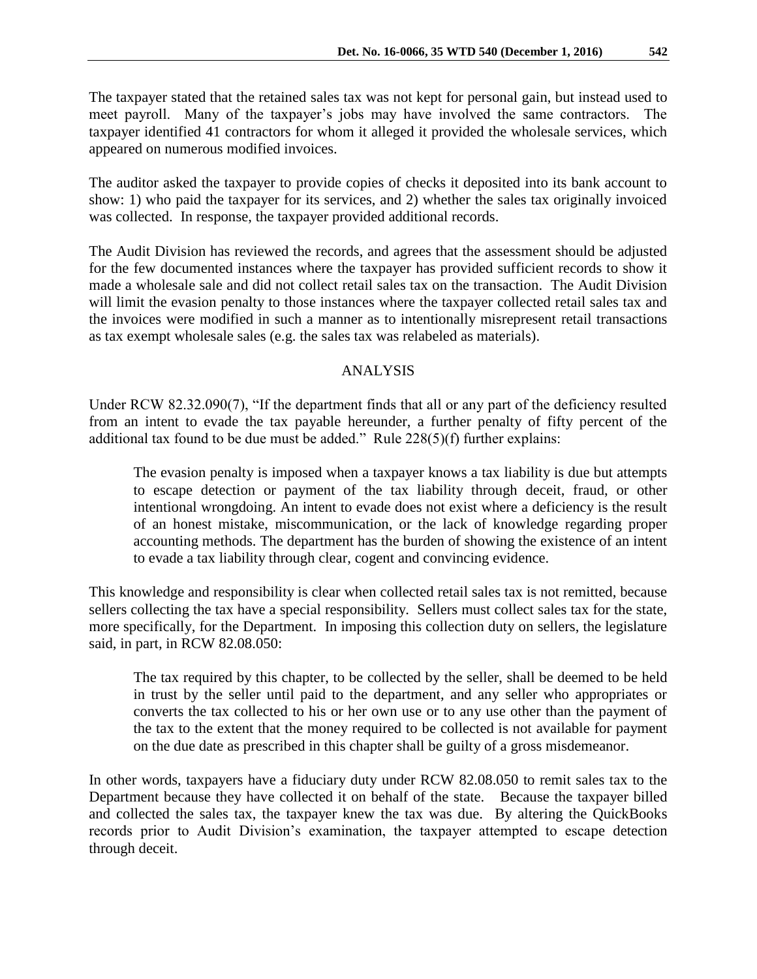The taxpayer stated that the retained sales tax was not kept for personal gain, but instead used to meet payroll. Many of the taxpayer's jobs may have involved the same contractors. The taxpayer identified 41 contractors for whom it alleged it provided the wholesale services, which appeared on numerous modified invoices.

The auditor asked the taxpayer to provide copies of checks it deposited into its bank account to show: 1) who paid the taxpayer for its services, and 2) whether the sales tax originally invoiced was collected. In response, the taxpayer provided additional records.

The Audit Division has reviewed the records, and agrees that the assessment should be adjusted for the few documented instances where the taxpayer has provided sufficient records to show it made a wholesale sale and did not collect retail sales tax on the transaction. The Audit Division will limit the evasion penalty to those instances where the taxpayer collected retail sales tax and the invoices were modified in such a manner as to intentionally misrepresent retail transactions as tax exempt wholesale sales (e.g. the sales tax was relabeled as materials).

# ANALYSIS

Under RCW 82.32.090(7), "If the department finds that all or any part of the deficiency resulted from an intent to evade the tax payable hereunder, a further penalty of fifty percent of the additional tax found to be due must be added." Rule 228(5)(f) further explains:

The evasion penalty is imposed when a taxpayer knows a tax liability is due but attempts to escape detection or payment of the tax liability through deceit, fraud, or other intentional wrongdoing. An intent to evade does not exist where a deficiency is the result of an honest mistake, miscommunication, or the lack of knowledge regarding proper accounting methods. The department has the burden of showing the existence of an intent to evade a tax liability through clear, cogent and convincing evidence.

This knowledge and responsibility is clear when collected retail sales tax is not remitted, because sellers collecting the tax have a special responsibility. Sellers must collect sales tax for the state, more specifically, for the Department. In imposing this collection duty on sellers, the legislature said, in part, in RCW 82.08.050:

The tax required by this chapter, to be collected by the seller, shall be deemed to be held in trust by the seller until paid to the department, and any seller who appropriates or converts the tax collected to his or her own use or to any use other than the payment of the tax to the extent that the money required to be collected is not available for payment on the due date as prescribed in this chapter shall be guilty of a gross misdemeanor.

In other words, taxpayers have a fiduciary duty under RCW 82.08.050 to remit sales tax to the Department because they have collected it on behalf of the state.Because the taxpayer billed and collected the sales tax, the taxpayer knew the tax was due. By altering the QuickBooks records prior to Audit Division's examination, the taxpayer attempted to escape detection through deceit.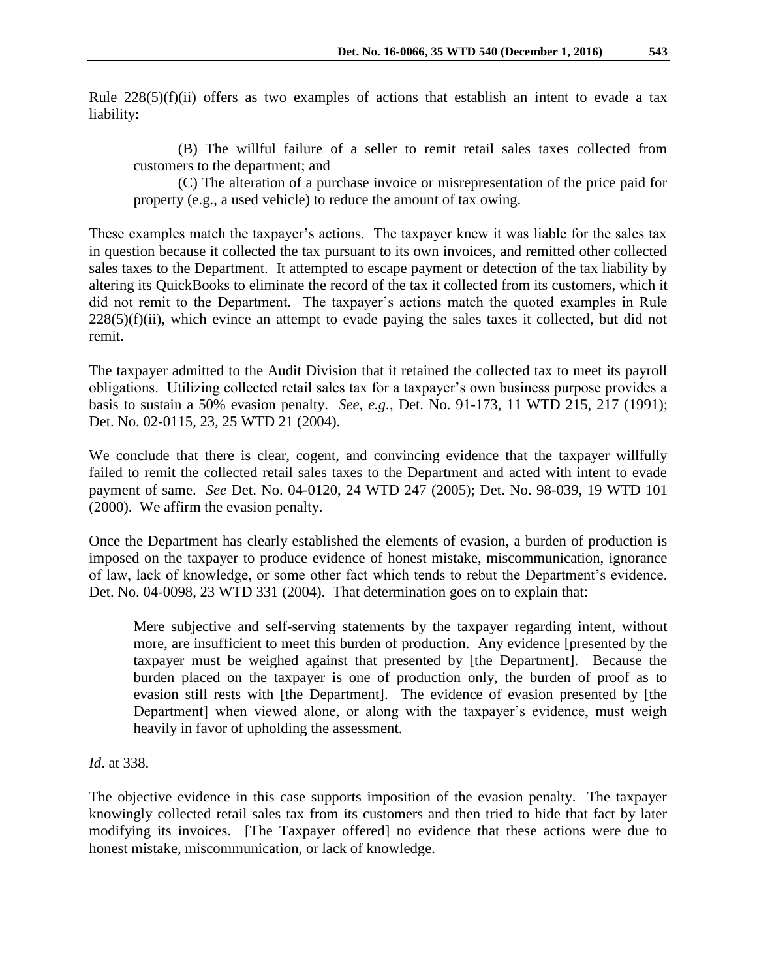Rule  $228(5)(f)(ii)$  offers as two examples of actions that establish an intent to evade a tax liability:

(B) The willful failure of a seller to remit retail sales taxes collected from customers to the department; and

(C) The alteration of a purchase invoice or misrepresentation of the price paid for property (e.g., a used vehicle) to reduce the amount of tax owing.

These examples match the taxpayer's actions. The taxpayer knew it was liable for the sales tax in question because it collected the tax pursuant to its own invoices, and remitted other collected sales taxes to the Department. It attempted to escape payment or detection of the tax liability by altering its QuickBooks to eliminate the record of the tax it collected from its customers, which it did not remit to the Department. The taxpayer's actions match the quoted examples in Rule  $228(5)(f)(ii)$ , which evince an attempt to evade paying the sales taxes it collected, but did not remit.

The taxpayer admitted to the Audit Division that it retained the collected tax to meet its payroll obligations. Utilizing collected retail sales tax for a taxpayer's own business purpose provides a basis to sustain a 50% evasion penalty. *See, e.g.,* Det. No. 91-173, 11 WTD 215, 217 (1991); Det. No. 02-0115, 23, 25 WTD 21 (2004).

We conclude that there is clear, cogent, and convincing evidence that the taxpayer willfully failed to remit the collected retail sales taxes to the Department and acted with intent to evade payment of same. *See* Det. No. 04-0120, 24 WTD 247 (2005); Det. No. 98-039, 19 WTD 101 (2000). We affirm the evasion penalty.

Once the Department has clearly established the elements of evasion, a burden of production is imposed on the taxpayer to produce evidence of honest mistake, miscommunication, ignorance of law, lack of knowledge, or some other fact which tends to rebut the Department's evidence. Det. No. 04-0098, 23 WTD 331 (2004). That determination goes on to explain that:

Mere subjective and self-serving statements by the taxpayer regarding intent, without more, are insufficient to meet this burden of production. Any evidence [presented by the taxpayer must be weighed against that presented by [the Department]. Because the burden placed on the taxpayer is one of production only, the burden of proof as to evasion still rests with [the Department]. The evidence of evasion presented by [the Department] when viewed alone, or along with the taxpayer's evidence, must weigh heavily in favor of upholding the assessment.

*Id*. at 338.

The objective evidence in this case supports imposition of the evasion penalty. The taxpayer knowingly collected retail sales tax from its customers and then tried to hide that fact by later modifying its invoices. [The Taxpayer offered] no evidence that these actions were due to honest mistake, miscommunication, or lack of knowledge.